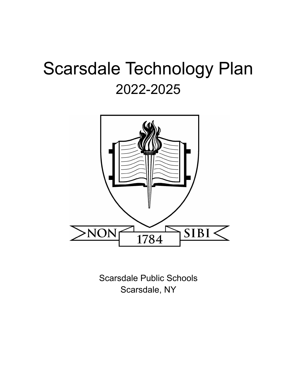# Scarsdale Technology Plan 2022-2025



Scarsdale Public Schools Scarsdale, NY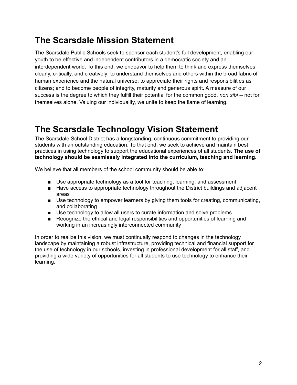# **The Scarsdale Mission Statement**

The Scarsdale Public Schools seek to sponsor each student's full development, enabling our youth to be effective and independent contributors in a democratic society and an interdependent world. To this end, we endeavor to help them to think and express themselves clearly, critically, and creatively; to understand themselves and others within the broad fabric of human experience and the natural universe; to appreciate their rights and responsibilities as citizens; and to become people of integrity, maturity and generous spirit. A measure of our success is the degree to which they fulfill their potential for the common good, *non sibi* -- not for themselves alone. Valuing our individuality, we unite to keep the flame of learning.

# **The Scarsdale Technology Vision Statement**

The Scarsdale School District has a longstanding, continuous commitment to providing our students with an outstanding education. To that end, we seek to achieve and maintain best practices in using technology to support the educational experiences of all students. **The use of technology should be seamlessly integrated into the curriculum, teaching and learning.**

We believe that all members of the school community should be able to:

- Use appropriate technology as a tool for teaching, learning, and assessment
- Have access to appropriate technology throughout the District buildings and adjacent areas
- Use technology to empower learners by giving them tools for creating, communicating, and collaborating
- Use technology to allow all users to curate information and solve problems
- Recognize the ethical and legal responsibilities and opportunities of learning and working in an increasingly interconnected community

In order to realize this vision, we must continually respond to changes in the technology landscape by maintaining a robust infrastructure, providing technical and financial support for the use of technology in our schools, investing in professional development for all staff, and providing a wide variety of opportunities for all students to use technology to enhance their learning.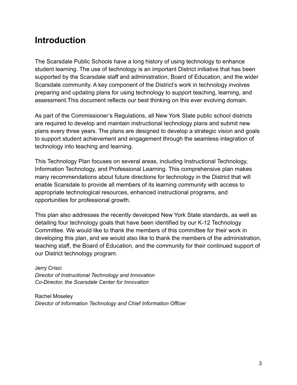# **Introduction**

The Scarsdale Public Schools have a long history of using technology to enhance student learning. The use of technology is an important District initiative that has been supported by the Scarsdale staff and administration, Board of Education, and the wider Scarsdale community. A key component of the District's work in technology involves preparing and updating plans for using technology to support teaching, learning, and assessment.This document reflects our best thinking on this ever evolving domain.

As part of the Commissioner's Regulations, all New York State public school districts are required to develop and maintain instructional technology plans and submit new plans every three years. The plans are designed to develop a strategic vision and goals to support student achievement and engagement through the seamless integration of technology into teaching and learning.

This Technology Plan focuses on several areas, including Instructional Technology, Information Technology, and Professional Learning. This comprehensive plan makes many recommendations about future directions for technology in the District that will enable Scarsdale to provide all members of its learning community with access to appropriate technological resources, enhanced instructional programs, and opportunities for professional growth.

This plan also addresses the recently developed New York State standards, as well as detailing four technology goals that have been identified by our K-12 Technology Committee. We would like to thank the members of this committee for their work in developing this plan, and we would also like to thank the members of the administration, teaching staff, the Board of Education, and the community for their continued support of our District technology program.

Jerry Crisci *Director of Instructional Technology and Innovation Co-Director, the Scarsdale Center for Innovation*

Rachel Moseley *Director of Information Technology and Chief Information Officer*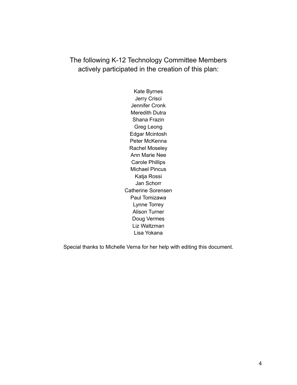The following K-12 Technology Committee Members actively participated in the creation of this plan:

> Kate Byrnes Jerry Crisci Jennifer Cronk Meredith Dutra Shana Frazin Greg Leong Edgar Mcintosh Peter McKenna Rachel Moseley Ann Marie Nee Carole Phillips Michael Pincus Katja Rossi Jan Schorr Catherine Sorensen Paul Tomizawa Lynne Torrey Alison Turner Doug Vermes Liz Waltzman Lisa Yokana

Special thanks to Michelle Verna for her help with editing this document.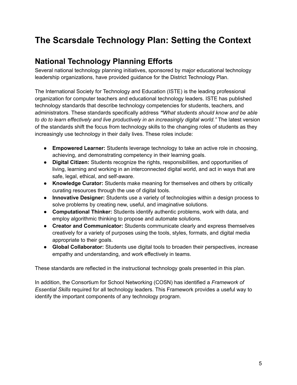# **The Scarsdale Technology Plan: Setting the Context**

# **National Technology Planning Efforts**

Several national technology planning initiatives, sponsored by major educational technology leadership organizations, have provided guidance for the District Technology Plan.

The International Society for Technology and Education (ISTE) is the leading professional organization for computer teachers and educational technology leaders. ISTE has published technology standards that describe technology competencies for students, teachers, and administrators. These standards specifically address *"What students should know and be able to do to learn effectively and live productively in an increasingly digital world."* The latest version of the standards shift the focus from technology skills to the changing roles of students as they increasingly use technology in their daily lives. These roles include:

- **Empowered Learner:** Students leverage technology to take an active role in choosing, achieving, and demonstrating competency in their learning goals.
- **Digital Citizen:** Students recognize the rights, responsibilities, and opportunities of living, learning and working in an interconnected digital world, and act in ways that are safe, legal, ethical, and self-aware.
- **Knowledge Curator:** Students make meaning for themselves and others by critically curating resources through the use of digital tools.
- **Innovative Designer:** Students use a variety of technologies within a design process to solve problems by creating new, useful, and imaginative solutions.
- **Computational Thinker:** Students identify authentic problems, work with data, and employ algorithmic thinking to propose and automate solutions.
- **Creator and Communicator:** Students communicate clearly and express themselves creatively for a variety of purposes using the tools, styles, formats, and digital media appropriate to their goals.
- **Global Collaborator:** Students use digital tools to broaden their perspectives, increase empathy and understanding, and work effectively in teams.

These standards are reflected in the instructional technology goals presented in this plan.

In addition, the Consortium for School Networking (COSN) has identified a *Framework of Essential Skills* required for all technology leaders. This Framework provides a useful way to identify the important components of any technology program.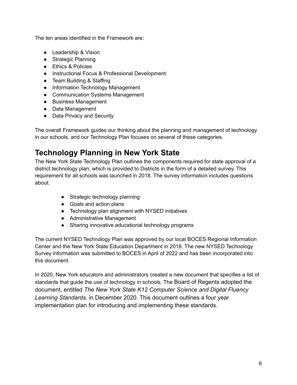The ten areas identified in the Framework are:

- Leadership & Vision
- Strategic Planning
- Ethics & Policies
- Instructional Focus & Professional Development
- Team Building & Staffing
- Information Technology Management
- Communication Systems Management
- Business Management
- Data Management
- Data Privacy and Security

The overall Framework guides our thinking about the planning and management of technology in our schools, and our Technology Plan focuses on several of these categories.

# **Technology Planning in New York State**

The New York State Technology Plan outlines the components required for state approval of a district technology plan, which is provided to Districts in the form of a detailed survey. This requirement for all schools was launched in 2018. The survey information includes questions about:

- Strategic technology planning
- Goals and action plans
- Technology plan alignment with NYSED initiatives
- Administrative Management
- Sharing innovative educational technology programs

The current NYSED Technology Plan was approved by our local BOCES Regional Information Center and the New York State Education Department in 2018. The new NYSED Technology Survey information was submitted to BOCES in April of 2022 and has been incorporated into this document.

In 2020, New York educators and administrators created a new document that specifies a list of standards that guide the use of technology in schools. The Board of Regents adopted the document, entitled *The New York State K12 Computer Science and Digital Fluency Learning Standards,* in December 2020. This document outlines a four year implementation plan for introducing and implementing these standards.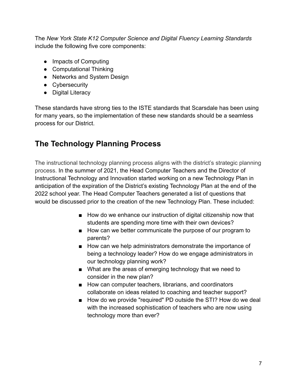The *New York State K12 Computer Science and Digital Fluency Learning Standards* include the following five core components:

- Impacts of Computing
- Computational Thinking
- Networks and System Design
- Cybersecurity
- Digital Literacy

These standards have strong ties to the ISTE standards that Scarsdale has been using for many years, so the implementation of these new standards should be a seamless process for our District.

# **The Technology Planning Process**

The instructional technology planning process aligns with the district's strategic planning process. In the summer of 2021, the Head Computer Teachers and the Director of Instructional Technology and Innovation started working on a new Technology Plan in anticipation of the expiration of the District's existing Technology Plan at the end of the 2022 school year. The Head Computer Teachers generated a list of questions that would be discussed prior to the creation of the new Technology Plan. These included:

- How do we enhance our instruction of digital citizenship now that students are spending more time with their own devices?
- How can we better communicate the purpose of our program to parents?
- How can we help administrators demonstrate the importance of being a technology leader? How do we engage administrators in our technology planning work?
- What are the areas of emerging technology that we need to consider in the new plan?
- How can computer teachers, librarians, and coordinators collaborate on ideas related to coaching and teacher support?
- How do we provide "required" PD outside the STI? How do we deal with the increased sophistication of teachers who are now using technology more than ever?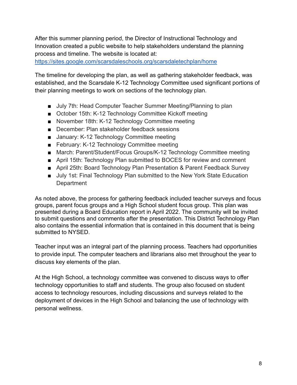After this summer planning period, the Director of Instructional Technology and Innovation created a public website to help stakeholders understand the planning process and timeline. The website is located at:

<https://sites.google.com/scarsdaleschools.org/scarsdaletechplan/home>

The timeline for developing the plan, as well as gathering stakeholder feedback, was established, and the Scarsdale K-12 Technology Committee used significant portions of their planning meetings to work on sections of the technology plan.

- July 7th: Head Computer Teacher Summer Meeting/Planning to plan
- October 15th: K-12 Technology Committee Kickoff meeting
- November 18th: K-12 Technology Committee meeting
- December: Plan stakeholder feedback sessions
- January: K-12 Technology Committee meeting
- February: K-12 Technology Committee meeting
- March: Parent/Student/Focus Groups/K-12 Technology Committee meeting
- April 15th: Technology Plan submitted to BOCES for review and comment
- April 25th: Board Technology Plan Presentation & Parent Feedback Survey
- July 1st: Final Technology Plan submitted to the New York State Education **Department**

As noted above, the process for gathering feedback included teacher surveys and focus groups, parent focus groups and a High School student focus group. This plan was presented during a Board Education report in April 2022. The community will be invited to submit questions and comments after the presentation. This District Technology Plan also contains the essential information that is contained in this document that is being submitted to NYSED.

Teacher input was an integral part of the planning process. Teachers had opportunities to provide input. The computer teachers and librarians also met throughout the year to discuss key elements of the plan.

At the High School, a technology committee was convened to discuss ways to offer technology opportunities to staff and students. The group also focused on student access to technology resources, including discussions and surveys related to the deployment of devices in the High School and balancing the use of technology with personal wellness.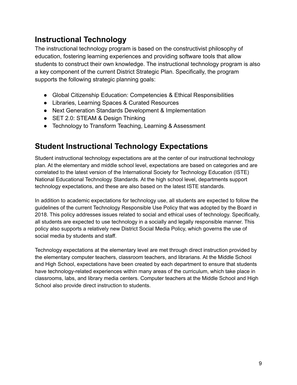# **Instructional Technology**

The instructional technology program is based on the constructivist philosophy of education, fostering learning experiences and providing software tools that allow students to construct their own knowledge. The instructional technology program is also a key component of the current District Strategic Plan. Specifically, the program supports the following strategic planning goals:

- Global Citizenship Education: Competencies & Ethical Responsibilities
- Libraries, Learning Spaces & Curated Resources
- Next Generation Standards Development & Implementation
- SET 2.0: STEAM & Design Thinking
- Technology to Transform Teaching, Learning & Assessment

# **Student Instructional Technology Expectations**

Student instructional technology expectations are at the center of our instructional technology plan. At the elementary and middle school level, expectations are based on categories and are correlated to the latest version of the International Society for Technology Education (ISTE) National Educational Technology Standards. At the high school level, departments support technology expectations, and these are also based on the latest ISTE standards.

In addition to academic expectations for technology use, all students are expected to follow the guidelines of the current Technology Responsible Use Policy that was adopted by the Board in 2018. This policy addresses issues related to social and ethical uses of technology. Specifically, all students are expected to use technology in a socially and legally responsible manner. This policy also supports a relatively new District Social Media Policy, which governs the use of social media by students and staff.

Technology expectations at the elementary level are met through direct instruction provided by the elementary computer teachers, classroom teachers, and librarians. At the Middle School and High School, expectations have been created by each department to ensure that students have technology-related experiences within many areas of the curriculum, which take place in classrooms, labs, and library media centers. Computer teachers at the Middle School and High School also provide direct instruction to students.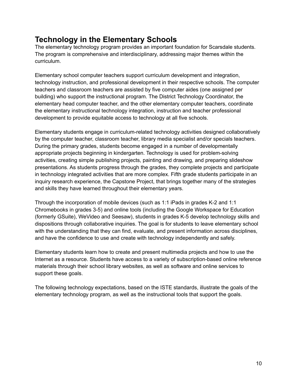# **Technology in the Elementary Schools**

The elementary technology program provides an important foundation for Scarsdale students. The program is comprehensive and interdisciplinary, addressing major themes within the curriculum.

Elementary school computer teachers support curriculum development and integration, technology instruction, and professional development in their respective schools. The computer teachers and classroom teachers are assisted by five computer aides (one assigned per building) who support the instructional program. The District Technology Coordinator, the elementary head computer teacher, and the other elementary computer teachers, coordinate the elementary instructional technology integration, instruction and teacher professional development to provide equitable access to technology at all five schools.

Elementary students engage in curriculum-related technology activities designed collaboratively by the computer teacher, classroom teacher, library media specialist and/or specials teachers. During the primary grades, students become engaged in a number of developmentally appropriate projects beginning in kindergarten. Technology is used for problem-solving activities, creating simple publishing projects, painting and drawing, and preparing slideshow presentations. As students progress through the grades, they complete projects and participate in technology integrated activities that are more complex. Fifth grade students participate in an inquiry research experience, the Capstone Project, that brings together many of the strategies and skills they have learned throughout their elementary years.

Through the incorporation of mobile devices (such as 1:1 iPads in grades K-2 and 1:1 Chromebooks in grades 3-5) and online tools (including the Google Workspace for Education (formerly GSuite), WeVideo and Seesaw), students in grades K-5 develop technology skills and dispositions through collaborative inquiries. The goal is for students to leave elementary school with the understanding that they can find, evaluate, and present information across disciplines, and have the confidence to use and create with technology independently and safely.

Elementary students learn how to create and present multimedia projects and how to use the Internet as a resource. Students have access to a variety of subscription-based online reference materials through their school library websites, as well as software and online services to support these goals.

The following technology expectations, based on the ISTE standards, illustrate the goals of the elementary technology program, as well as the instructional tools that support the goals.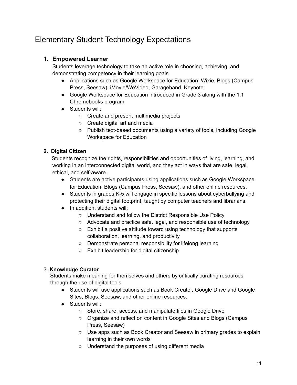# Elementary Student Technology Expectations

# **1. Empowered Learner**

Students leverage technology to take an active role in choosing, achieving, and demonstrating competency in their learning goals.

- Applications such as Google Workspace for Education, Wixie, Blogs (Campus Press, Seesaw), iMovie/WeVideo, Garageband, Keynote
- Google Workspace for Education introduced in Grade 3 along with the 1:1 Chromebooks program
- Students will:
	- Create and present multimedia projects
	- Create digital art and media
	- Publish text-based documents using a variety of tools, including Google Workspace for Education

# **2. Digital Citizen**

Students recognize the rights, responsibilities and opportunities of living, learning, and working in an interconnected digital world, and they act in ways that are safe, legal, ethical, and self-aware.

- Students are active participants using applications such as Google Workspace for Education, Blogs (Campus Press, Seesaw), and other online resources.
- Students in grades K-5 will engage in specific lessons about cyberbullying and protecting their digital footprint, taught by computer teachers and librarians.
- In addition, students will:
	- Understand and follow the District Responsible Use Policy
	- Advocate and practice safe, legal, and responsible use of technology
	- Exhibit a positive attitude toward using technology that supports collaboration, learning, and productivity
	- Demonstrate personal responsibility for lifelong learning
	- Exhibit leadership for digital citizenship

# 3. **Knowledge Curator**

Students make meaning for themselves and others by critically curating resources through the use of digital tools.

- Students will use applications such as Book Creator, Google Drive and Google Sites, Blogs, Seesaw, and other online resources.
- Students will:
	- Store, share, access, and manipulate files in Google Drive
	- Organize and reflect on content in Google Sites and Blogs (Campus Press, Seesaw)
	- Use apps such as Book Creator and Seesaw in primary grades to explain learning in their own words
	- Understand the purposes of using different media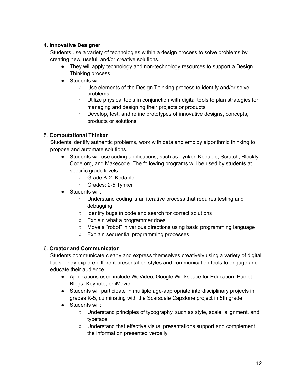# 4. **Innovative Designer**

Students use a variety of technologies within a design process to solve problems by creating new, useful, and/or creative solutions.

- They will apply technology and non-technology resources to support a Design Thinking process
- Students will:
	- Use elements of the Design Thinking process to identify and/or solve problems
	- Utilize physical tools in conjunction with digital tools to plan strategies for managing and designing their projects or products
	- Develop, test, and refine prototypes of innovative designs, concepts, products or solutions

# 5. **Computational Thinker**

Students identify authentic problems, work with data and employ algorithmic thinking to propose and automate solutions.

- Students will use coding applications, such as Tynker, Kodable, Scratch, Blockly, Code.org, and Makecode. The following programs will be used by students at specific grade levels:
	- Grade K-2: Kodable
	- Grades: 2-5 Tynker
- Students will:
	- Understand coding is an iterative process that requires testing and debugging
	- Identify bugs in code and search for correct solutions
	- Explain what a programmer does
	- Move a "robot" in various directions using basic programming language
	- Explain sequential programming processes

# 6. **Creator and Communicator**

Students communicate clearly and express themselves creatively using a variety of digital tools. They explore different presentation styles and communication tools to engage and educate their audience.

- Applications used include WeVideo, Google Workspace for Education, Padlet, Blogs, Keynote, or iMovie
- Students will participate in multiple age-appropriate interdisciplinary projects in grades K-5, culminating with the Scarsdale Capstone project in 5th grade
- Students will:
	- Understand principles of typography, such as style, scale, alignment, and typeface
	- Understand that effective visual presentations support and complement the information presented verbally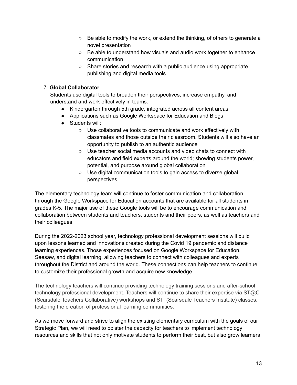- $\circ$  Be able to modify the work, or extend the thinking, of others to generate a novel presentation
- Be able to understand how visuals and audio work together to enhance communication
- $\circ$  Share stories and research with a public audience using appropriate publishing and digital media tools

### 7. **Global Collaborator**

Students use digital tools to broaden their perspectives, increase empathy, and understand and work effectively in teams.

- Kindergarten through 5th grade, integrated across all content areas
- Applications such as Google Workspace for Education and Blogs
- Students will:
	- Use collaborative tools to communicate and work effectively with classmates and those outside their classroom. Students will also have an opportunity to publish to an authentic audience
	- Use teacher social media accounts and video chats to connect with educators and field experts around the world; showing students power, potential, and purpose around global collaboration
	- Use digital communication tools to gain access to diverse global perspectives

The elementary technology team will continue to foster communication and collaboration through the Google Workspace for Education accounts that are available for all students in grades K-5. The major use of these Google tools will be to encourage communication and collaboration between students and teachers, students and their peers, as well as teachers and their colleagues.

During the 2022-2023 school year, technology professional development sessions will build upon lessons learned and innovations created during the Covid 19 pandemic and distance learning experiences. Those experiences focused on Google Workspace for Education, Seesaw, and digital learning, allowing teachers to connect with colleagues and experts throughout the District and around the world. These connections can help teachers to continue to customize their professional growth and acquire new knowledge.

The technology teachers will continue providing technology training sessions and after-school technology professional development. Teachers will continue to share their expertise via ST@C (Scarsdale Teachers Collaborative) workshops and STI (Scarsdale Teachers Institute) classes, fostering the creation of professional learning communities.

As we move forward and strive to align the existing elementary curriculum with the goals of our Strategic Plan, we will need to bolster the capacity for teachers to implement technology resources and skills that not only motivate students to perform their best, but also grow learners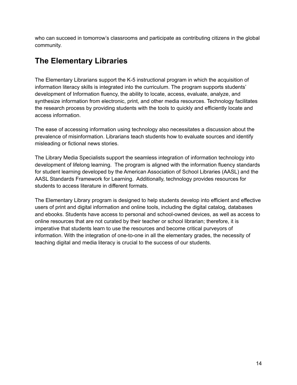who can succeed in tomorrow's classrooms and participate as contributing citizens in the global community.

# **The Elementary Libraries**

The Elementary Librarians support the K-5 instructional program in which the acquisition of information literacy skills is integrated into the curriculum. The program supports students' development of Information fluency, the ability to locate, access, evaluate, analyze, and synthesize information from electronic, print, and other media resources. Technology facilitates the research process by providing students with the tools to quickly and efficiently locate and access information.

The ease of accessing information using technology also necessitates a discussion about the prevalence of misinformation. Librarians teach students how to evaluate sources and identify misleading or fictional news stories.

The Library Media Specialists support the seamless integration of information technology into development of lifelong learning. The program is aligned with the information fluency standards for student learning developed by the American Association of School Libraries (AASL) and the AASL Standards Framework for Learning. Additionally, technology provides resources for students to access literature in different formats.

The Elementary Library program is designed to help students develop into efficient and effective users of print and digital information and online tools, including the digital catalog, databases and ebooks. Students have access to personal and school-owned devices, as well as access to online resources that are not curated by their teacher or school librarian; therefore, it is imperative that students learn to use the resources and become critical purveyors of information. With the integration of one-to-one in all the elementary grades, the necessity of teaching digital and media literacy is crucial to the success of our students.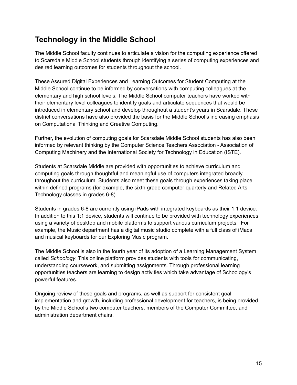# **Technology in the Middle School**

The Middle School faculty continues to articulate a vision for the computing experience offered to Scarsdale Middle School students through identifying a series of computing experiences and desired learning outcomes for students throughout the school.

These Assured Digital Experiences and Learning Outcomes for Student Computing at the Middle School continue to be informed by conversations with computing colleagues at the elementary and high school levels. The Middle School computer teachers have worked with their elementary level colleagues to identify goals and articulate sequences that would be introduced in elementary school and develop throughout a student's years in Scarsdale. These district conversations have also provided the basis for the Middle School's increasing emphasis on Computational Thinking and Creative Computing.

Further, the evolution of computing goals for Scarsdale Middle School students has also been informed by relevant thinking by the Computer Science Teachers Association - Association of Computing Machinery and the International Society for Technology in Education (ISTE).

Students at Scarsdale Middle are provided with opportunities to achieve curriculum and computing goals through thoughtful and meaningful use of computers integrated broadly throughout the curriculum. Students also meet these goals through experiences taking place within defined programs (for example, the sixth grade computer quarterly and Related Arts Technology classes in grades 6-8).

Students in grades 6-8 are currently using iPads with integrated keyboards as their 1:1 device. In addition to this 1:1 device, students will continue to be provided with technology experiences using a variety of desktop and mobile platforms to support various curriculum projects. For example, the Music department has a digital music studio complete with a full class of iMacs and musical keyboards for our Exploring Music program.

The Middle School is also in the fourth year of its adoption of a Learning Management System called *Schoology*. This online platform provides students with tools for communicating, understanding coursework, and submitting assignments. Through professional learning opportunities teachers are learning to design activities which take advantage of Schoology's powerful features.

Ongoing review of these goals and programs, as well as support for consistent goal implementation and growth, including professional development for teachers, is being provided by the Middle School's two computer teachers, members of the Computer Committee, and administration department chairs.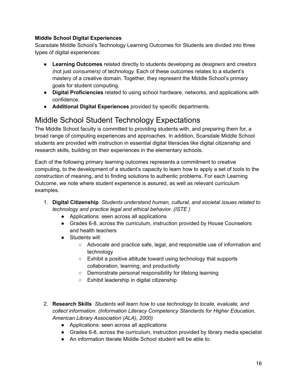# **Middle School Digital Experiences**

Scarsdale Middle School's Technology Learning Outcomes for Students are divided into three types of digital experiences:

- **Learning Outcomes** related directly to students developing as *designers* and *creators (*not just *consumers)* of technology. Each of these outcomes relates to a student's mastery of a creative domain. Together, they represent the Middle School's primary goals for student computing.
- **Digital Proficiencies** related to using school hardware, networks, and applications with confidence.
- **Additional Digital Experiences** provided by specific departments.

# Middle School Student Technology Expectations

The Middle School faculty is committed to providing students with, and preparing them for, a broad range of computing experiences and approaches. In addition, Scarsdale Middle School students are provided with instruction in essential digital literacies like digital citizenship and research skills, building on their experiences in the elementary schools.

Each of the following primary learning outcomes represents a commitment to creative computing, to the development of a student's capacity to learn how to apply a set of tools to the construction of meaning, and to finding solutions to authentic problems. For each Learning Outcome, we note where student experience is assured, as well as relevant curriculum examples.

- 1. **Digital Citizenship** *Students understand human, cultural, and societal issues related to technology and practice legal and ethical behavior. (ISTE )*
	- Applications: seen across all applications
	- Grades 6-8, across the curriculum, instruction provided by House Counselors and health teachers
	- Students will:
		- Advocate and practice safe, legal, and responsible use of information and technology
		- Exhibit a positive attitude toward using technology that supports collaboration, learning, and productivity
		- Demonstrate personal responsibility for lifelong learning
		- Exhibit leadership in digital citizenship
- 2. **Research Skills** *Students will learn how to use technology to locate, evaluate, and collect information. (Information Literacy Competency Standards for Higher Education, American Library Association (ALA), 2000)*
	- Applications: seen across all applications
	- Grades 6-8, across the curriculum, instruction provided by library media specialist
	- An information literate Middle School student will be able to: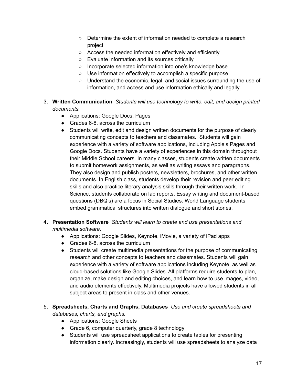- Determine the extent of information needed to complete a research project
- Access the needed information effectively and efficiently
- Evaluate information and its sources critically
- Incorporate selected information into one's knowledge base
- Use information effectively to accomplish a specific purpose
- Understand the economic, legal, and social issues surrounding the use of information, and access and use information ethically and legally
- 3. **Written Communication** *Students will use technology to write, edit, and design printed documents.*
	- Applications: Google Docs, Pages
	- Grades 6-8, across the curriculum
	- Students will write, edit and design written documents for the purpose of clearly communicating concepts to teachers and classmates. Students will gain experience with a variety of software applications, including Apple's Pages and Google Docs. Students have a variety of experiences in this domain throughout their Middle School careers. In many classes, students create written documents to submit homework assignments, as well as writing essays and paragraphs. They also design and publish posters, newsletters, brochures, and other written documents. In English class, students develop their revision and peer editing skills and also practice literary analysis skills through their written work. In Science, students collaborate on lab reports. Essay writing and document-based questions (DBQ's) are a focus in Social Studies. World Language students embed grammatical structures into written dialogue and short stories.
- 4. **Presentation Software** *Students will learn to create and use presentations and multimedia software.*
	- Applications: Google Slides, Keynote, iMovie, a variety of iPad apps
	- Grades 6-8, across the curriculum
	- Students will create multimedia presentations for the purpose of communicating research and other concepts to teachers and classmates. Students will gain experience with a variety of software applications including Keynote, as well as cloud-based solutions like Google Slides. All platforms require students to plan, organize, make design and editing choices, and learn how to use images, video, and audio elements effectively. Multimedia projects have allowed students in all subject areas to present in class and other venues.
- 5. **Spreadsheets, Charts and Graphs, Databases** *Use and create spreadsheets and databases, charts, and graphs.*
	- Applications: Google Sheets
	- Grade 6, computer quarterly, grade 8 technology
	- Students will use spreadsheet applications to create tables for presenting information clearly. Increasingly, students will use spreadsheets to analyze data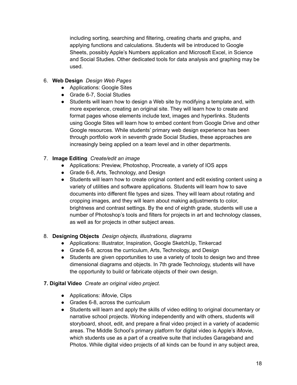including sorting, searching and filtering, creating charts and graphs, and applying functions and calculations. Students will be introduced to Google Sheets, possibly Apple's Numbers application and Microsoft Excel, in Science and Social Studies. Other dedicated tools for data analysis and graphing may be used.

# 6. **Web Design** *Design Web Pages*

- Applications: Google Sites
- Grade 6-7, Social Studies
- Students will learn how to design a Web site by modifying a template and, with more experience, creating an original site. They will learn how to create and format pages whose elements include text, images and hyperlinks. Students using Google Sites will learn how to embed content from Google Drive and other Google resources. While students' primary web design experience has been through portfolio work in seventh grade Social Studies, these approaches are increasingly being applied on a team level and in other departments.

# 7. **Image Editing** *Create/edit an image*

- Applications: Preview, Photoshop, Procreate, a variety of IOS apps
- Grade 6-8, Arts, Technology, and Design
- Students will learn how to create original content and edit existing content using a variety of utilities and software applications. Students will learn how to save documents into different file types and sizes. They will learn about rotating and cropping images, and they will learn about making adjustments to color, brightness and contrast settings. By the end of eighth grade, students will use a number of Photoshop's tools and filters for projects in art and technology classes, as well as for projects in other subject areas.

# 8. **Designing Objects** *Design objects, illustrations, diagrams*

- Applications: Illustrator, Inspiration, Google SketchUp, Tinkercad
- Grade 6-8, across the curriculum, Arts, Technology, and Design
- Students are given opportunities to use a variety of tools to design two and three dimensional diagrams and objects. In 7th grade Technology, students will have the opportunity to build or fabricate objects of their own design.

# **7. Digital Video** *Create an original video project.*

- Applications: iMovie, Clips
- Grades 6-8, across the curriculum
- Students will learn and apply the skills of video editing to original documentary or narrative school projects. Working independently and with others, students will storyboard, shoot, edit, and prepare a final video project in a variety of academic areas. The Middle School's primary platform for digital video is Apple's iMovie, which students use as a part of a creative suite that includes Garageband and Photos. While digital video projects of all kinds can be found in any subject area,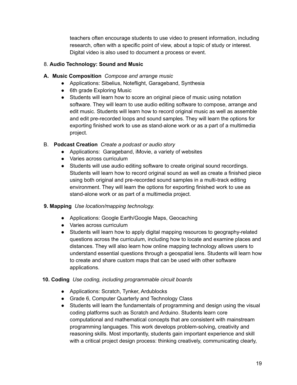teachers often encourage students to use video to present information, including research, often with a specific point of view, about a topic of study or interest. Digital video is also used to document a process or event.

# 8. **Audio Technology: Sound and Music**

# **A. Music Composition** *Compose and arrange music*

- Applications: Sibelius, Noteflight, Garageband, Synthesia
- 6th grade Exploring Music
- Students will learn how to score an original piece of music using notation software. They will learn to use audio editing software to compose, arrange and edit music. Students will learn how to record original music as well as assemble and edit pre-recorded loops and sound samples. They will learn the options for exporting finished work to use as stand-alone work or as a part of a multimedia project.

# B. **Podcast Creation** *Create a podcast or audio story*

- Applications: Garageband, iMovie, a variety of websites
- Varies across curriculum
- Students will use audio editing software to create original sound recordings. Students will learn how to record original sound as well as create a finished piece using both original and pre-recorded sound samples in a multi-track editing environment. They will learn the options for exporting finished work to use as stand-alone work or as part of a multimedia project.

# **9. Mapping** *Use location/mapping technology.*

- Applications: Google Earth/Google Maps, Geocaching
- Varies across curriculum
- Students will learn how to apply digital mapping resources to geography-related questions across the curriculum, including how to locate and examine places and distances. They will also learn how online mapping technology allows users to understand essential questions through a geospatial lens. Students will learn how to create and share custom maps that can be used with other software applications.

# **10. Coding** *Use coding, including programmable circuit boards*

- Applications: Scratch, Tynker, Ardublocks
- Grade 6, Computer Quarterly and Technology Class
- Students will learn the fundamentals of programming and design using the visual coding platforms such as Scratch and Arduino. Students learn core computational and mathematical concepts that are consistent with mainstream programming languages. This work develops problem-solving, creativity and reasoning skills. Most importantly, students gain important experience and skill with a critical project design process: thinking creatively, communicating clearly,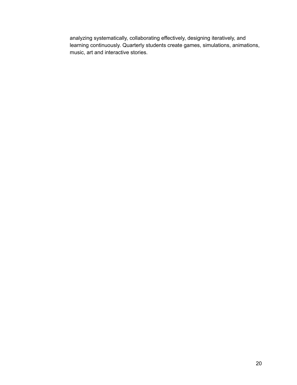analyzing systematically, collaborating effectively, designing iteratively, and learning continuously. Quarterly students create games, simulations, animations, music, art and interactive stories.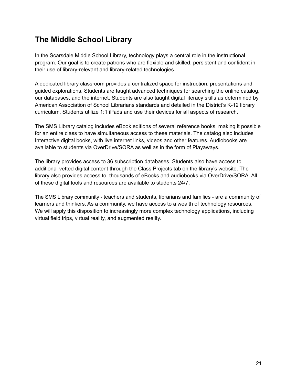# **The Middle School Library**

In the Scarsdale Middle School Library, technology plays a central role in the instructional program. Our goal is to create patrons who are flexible and skilled, persistent and confident in their use of library-relevant and library-related technologies.

A dedicated library classroom provides a centralized space for instruction, presentations and guided explorations. Students are taught advanced techniques for searching the online catalog, our databases, and the internet. Students are also taught digital literacy skills as determined by American Association of School Librarians standards and detailed in the District's K-12 library curriculum. Students utilize 1:1 iPads and use their devices for all aspects of research.

The SMS Library catalog includes eBook editions of several reference books, making it possible for an entire class to have simultaneous access to these materials. The catalog also includes Interactive digital books, with live internet links, videos and other features. Audiobooks are available to students via OverDrive/SORA as well as in the form of Playaways.

The library provides access to 36 subscription databases. Students also have access to additional vetted digital content through the Class Projects tab on the library's website. The library also provides access to thousands of eBooks and audiobooks via OverDrive/SORA. All of these digital tools and resources are available to students 24/7.

The SMS Library community - teachers and students, librarians and families - are a community of learners and thinkers. As a community, we have access to a wealth of technology resources. We will apply this disposition to increasingly more complex technology applications, including virtual field trips, virtual reality, and augmented reality.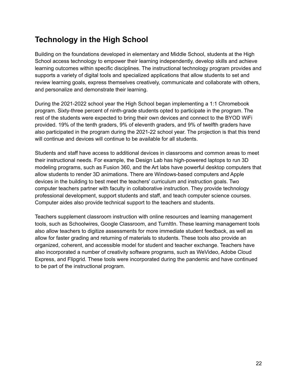# **Technology in the High School**

Building on the foundations developed in elementary and Middle School, students at the High School access technology to empower their learning independently, develop skills and achieve learning outcomes within specific disciplines. The instructional technology program provides and supports a variety of digital tools and specialized applications that allow students to set and review learning goals, express themselves creatively, communicate and collaborate with others, and personalize and demonstrate their learning.

During the 2021-2022 school year the High School began implementing a 1:1 Chromebook program. Sixty-three percent of ninth-grade students opted to participate in the program. The rest of the students were expected to bring their own devices and connect to the BYOD WiFi provided. 19% of the tenth graders, 9% of eleventh graders, and 9% of twelfth graders have also participated in the program during the 2021-22 school year. The projection is that this trend will continue and devices will continue to be available for all students.

Students and staff have access to additional devices in classrooms and common areas to meet their instructional needs. For example, the Design Lab has high-powered laptops to run 3D modeling programs, such as Fusion 360, and the Art labs have powerful desktop computers that allow students to render 3D animations. There are Windows-based computers and Apple devices in the building to best meet the teachers' curriculum and instruction goals. Two computer teachers partner with faculty in collaborative instruction. They provide technology professional development, support students and staff, and teach computer science courses. Computer aides also provide technical support to the teachers and students.

Teachers supplement classroom instruction with online resources and learning management tools, such as Schoolwires, Google Classroom, and TurnItIn. These learning management tools also allow teachers to digitize assessments for more immediate student feedback, as well as allow for faster grading and returning of materials to students. These tools also provide an organized, coherent, and accessible model for student and teacher exchange. Teachers have also incorporated a number of creativity software programs, such as WeVideo, Adobe Cloud Express, and Flipgrid. These tools were incorporated during the pandemic and have continued to be part of the instructional program.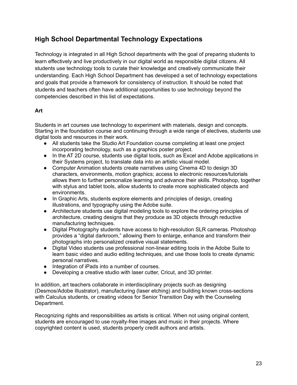# **High School Departmental Technology Expectations**

Technology is integrated in all High School departments with the goal of preparing students to learn effectively and live productively in our digital world as responsible digital citizens. All students use technology tools to curate their knowledge and creatively communicate their understanding. Each High School Department has developed a set of technology expectations and goals that provide a framework for consistency of instruction. It should be noted that students and teachers often have additional opportunities to use technology beyond the competencies described in this list of expectations.

# **Art**

Students in art courses use technology to experiment with materials, design and concepts. Starting in the foundation course and continuing through a wide range of electives, students use digital tools and resources in their work.

- All students take the Studio Art Foundation course completing at least one project incorporating technology, such as a graphics poster project.
- In the AT 2D course, students use digital tools, such as Excel and Adobe applications in their Systems project, to translate data into an artistic visual model.
- Computer Animation students create narratives using Cinema 4D to design 3D characters, environments, motion graphics; access to electronic resources/tutorials allows them to further personalize learning and advance their skills. Photoshop, together with stylus and tablet tools, allow students to create more sophisticated objects and environments.
- In Graphic Arts, students explore elements and principles of design, creating illustrations, and typography using the Adobe suite.
- Architecture students use digital modeling tools to explore the ordering principles of architecture, creating designs that they produce as 3D objects through reductive manufacturing techniques.
- Digital Photography students have access to high-resolution SLR cameras. Photoshop provides a "digital darkroom," allowing them to enlarge, enhance and transform their photographs into personalized creative visual statements.
- Digital Video students use professional non-linear editing tools in the Adobe Suite to learn basic video and audio editing techniques, and use those tools to create dynamic personal narratives.
- Integration of iPads into a number of courses.
- Developing a creative studio with laser cutter, Cricut, and 3D printer.

In addition, art teachers collaborate in interdisciplinary projects such as designing (Desmos/Adobe Illustrator), manufacturing (laser etching) and building known cross-sections with Calculus students, or creating videos for Senior Transition Day with the Counseling Department.

Recognizing rights and responsibilities as artists is critical. When not using original content, students are encouraged to use royalty-free images and music in their projects. Where copyrighted content is used, students properly credit authors and artists.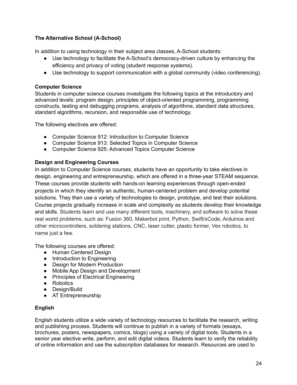# **The Alternative School (A-School)**

In addition to using technology in their subject area classes, A-School students:

- Use technology to facilitate the A-School's democracy-driven culture by enhancing the efficiency and privacy of voting (student response systems).
- Use technology to support communication with a global community (video conferencing).

#### **Computer Science**

Students in computer science courses investigate the following topics at the introductory and advanced levels: program design, principles of object-oriented programming, programming constructs, testing and debugging programs, analysis of algorithms, standard data structures, standard algorithms, recursion, and responsible use of technology.

The following electives are offered:

- Computer Science 912: Introduction to Computer Science
- Computer Science 913: Selected Topics in Computer Science
- Computer Science 925: Advanced Topics Computer Science

#### **Design and Engineering Courses**

In addition to Computer Science courses, students have an opportunity to take electives in design, engineering and entrepreneurship, which are offered in a three-year STEAM sequence. These courses provide students with hands-on learning experiences through open-ended projects in which they identify an authentic, human-centered problem and develop potential solutions. They then use a variety of technologies to design, prototype, and test their solutions. Course projects gradually increase in scale and complexity as students develop their knowledge and skills. Students learn and use many different tools, machinery, and software to solve these real world problems, such as: Fusion 360, Makerbot print, Python, Swift/xCode, Arduinos and other microcontrollers, soldering stations, CNC, laser cutter, plastic former, Vex robotics, to name just a few.

The following courses are offered:

- Human Centered Design
- Introduction to Engineering
- Design for Modern Production
- Mobile App Design and Development
- Principles of Electrical Engineering
- Robotics
- Design/Build
- AT Entrepreneurship

#### **English**

English students utilize a wide variety of technology resources to facilitate the research, writing and publishing process. Students will continue to publish in a variety of formats (essays, brochures, posters, newspapers, comics, blogs) using a variety of digital tools. Students in a senior year elective write, perform, and edit digital videos. Students learn to verify the reliability of online information and use the subscription databases for research. Resources are used to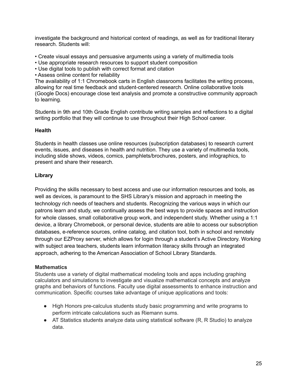investigate the background and historical context of readings, as well as for traditional literary research. Students will:

- Create visual essays and persuasive arguments using a variety of multimedia tools
- Use appropriate research resources to support student composition
- Use digital tools to publish with correct format and citation
- Assess online content for reliability

The availability of 1:1 Chromebook carts in English classrooms facilitates the writing process, allowing for real time feedback and student-centered research. Online collaborative tools (Google Docs) encourage close text analysis and promote a constructive community approach to learning.

Students in 9th and 10th Grade English contribute writing samples and reflections to a digital writing portfolio that they will continue to use throughout their High School career.

#### **Health**

Students in health classes use online resources (subscription databases) to research current events, issues, and diseases in health and nutrition. They use a variety of multimedia tools, including slide shows, videos, comics, pamphlets/brochures, posters, and infographics, to present and share their research.

# **Library**

Providing the skills necessary to best access and use our information resources and tools, as well as devices, is paramount to the SHS Library's mission and approach in meeting the technology rich needs of teachers and students. Recognizing the various ways in which our patrons learn and study, we continually assess the best ways to provide spaces and instruction for whole classes, small collaborative group work, and independent study. Whether using a 1:1 device, a library Chromebook, or personal device, students are able to access our subscription databases, e-reference sources, online catalog, and citation tool, both in school and remotely through our EZProxy server, which allows for login through a student's Active Directory. Working with subject area teachers, students learn information literacy skills through an integrated approach, adhering to the American Association of School Library Standards.

# **Mathematics**

Students use a variety of digital mathematical modeling tools and apps including graphing calculators and simulations to investigate and visualize mathematical concepts and analyze graphs and behaviors of functions. Faculty use digital assessments to enhance instruction and communication. Specific courses take advantage of unique applications and tools:

- High Honors pre-calculus students study basic programming and write programs to perform intricate calculations such as Riemann sums.
- $\bullet$  AT Statistics students analyze data using statistical software (R, R Studio) to analyze data.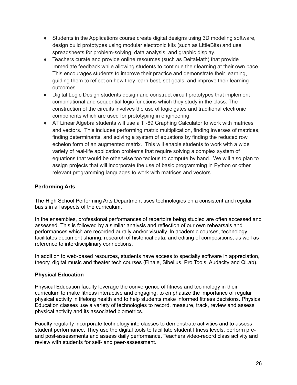- Students in the Applications course create digital designs using 3D modeling software, design build prototypes using modular electronic kits (such as LittleBits) and use spreadsheets for problem-solving, data analysis, and graphic display.
- Teachers curate and provide online resources (such as DeltaMath) that provide immediate feedback while allowing students to continue their learning at their own pace. This encourages students to improve their practice and demonstrate their learning, guiding them to reflect on how they learn best, set goals, and improve their learning outcomes.
- Digital Logic Design students design and construct circuit prototypes that implement combinational and sequential logic functions which they study in the class. The construction of the circuits involves the use of logic gates and traditional electronic components which are used for prototyping in engineering.
- AT Linear Algebra students will use a TI-89 Graphing Calculator to work with matrices and vectors. This includes performing matrix multiplication, finding inverses of matrices, finding determinants, and solving a system of equations by finding the reduced row echelon form of an augmented matrix. This will enable students to work with a wide variety of real-life application problems that require solving a complex system of equations that would be otherwise too tedious to compute by hand. We will also plan to assign projects that will incorporate the use of basic programming in Python or other relevant programming languages to work with matrices and vectors.

# **Performing Arts**

The High School Performing Arts Department uses technologies on a consistent and regular basis in all aspects of the curriculum.

In the ensembles, professional performances of repertoire being studied are often accessed and assessed. This is followed by a similar analysis and reflection of our own rehearsals and performances which are recorded aurally and/or visually. In academic courses, technology facilitates document sharing, research of historical data, and editing of compositions, as well as reference to interdisciplinary connections.

In addition to web-based resources, students have access to specialty software in appreciation, theory, digital music and theater tech courses (Finale, Sibelius, Pro Tools, Audacity and QLab).

# **Physical Education**

Physical Education faculty leverage the convergence of fitness and technology in their curriculum to make fitness interactive and engaging, to emphasize the importance of regular physical activity in lifelong health and to help students make informed fitness decisions. Physical Education classes use a variety of technologies to record, measure, track, review and assess physical activity and its associated biometrics.

Faculty regularly incorporate technology into classes to demonstrate activities and to assess student performance. They use the digital tools to facilitate student fitness levels, perform preand post-assessments and assess daily performance. Teachers video-record class activity and review with students for self- and peer-assessment.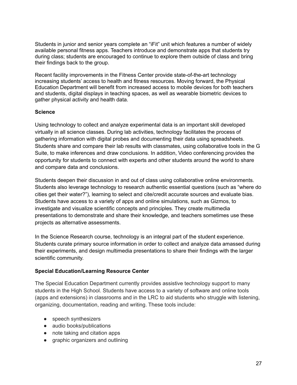Students in junior and senior years complete an "iFit" unit which features a number of widely available personal fitness apps. Teachers introduce and demonstrate apps that students try during class; students are encouraged to continue to explore them outside of class and bring their findings back to the group.

Recent facility improvements in the Fitness Center provide state-of-the-art technology increasing students' access to health and fitness resources. Moving forward, the Physical Education Department will benefit from increased access to mobile devices for both teachers and students, digital displays in teaching spaces, as well as wearable biometric devices to gather physical activity and health data.

#### **Science**

Using technology to collect and analyze experimental data is an important skill developed virtually in all science classes. During lab activities, technology facilitates the process of gathering information with digital probes and documenting their data using spreadsheets. Students share and compare their lab results with classmates, using collaborative tools in the G Suite, to make inferences and draw conclusions. In addition, Video conferencing provides the opportunity for students to connect with experts and other students around the world to share and compare data and conclusions.

Students deepen their discussion in and out of class using collaborative online environments. Students also leverage technology to research authentic essential questions (such as "where do cities get their water?"), learning to select and cite/credit accurate sources and evaluate bias. Students have access to a variety of apps and online simulations, such as Gizmos, to investigate and visualize scientific concepts and principles. They create multimedia presentations to demonstrate and share their knowledge, and teachers sometimes use these projects as alternative assessments.

In the Science Research course, technology is an integral part of the student experience. Students curate primary source information in order to collect and analyze data amassed during their experiments, and design multimedia presentations to share their findings with the larger scientific community.

# **Special Education/Learning Resource Center**

The Special Education Department currently provides assistive technology support to many students in the High School. Students have access to a variety of software and online tools (apps and extensions) in classrooms and in the LRC to aid students who struggle with listening, organizing, documentation, reading and writing. These tools include:

- speech synthesizers
- audio books/publications
- note taking and citation apps
- graphic organizers and outlining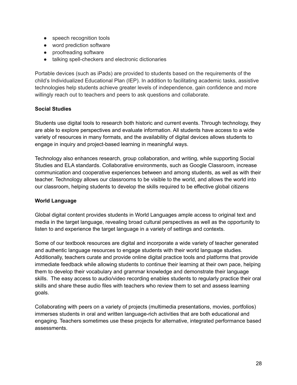- speech recognition tools
- word prediction software
- proofreading software
- talking spell-checkers and electronic dictionaries

Portable devices (such as iPads) are provided to students based on the requirements of the child's Individualized Educational Plan (IEP). In addition to facilitating academic tasks, assistive technologies help students achieve greater levels of independence, gain confidence and more willingly reach out to teachers and peers to ask questions and collaborate.

#### **Social Studies**

Students use digital tools to research both historic and current events. Through technology, they are able to explore perspectives and evaluate information. All students have access to a wide variety of resources in many formats, and the availability of digital devices allows students to engage in inquiry and project-based learning in meaningful ways.

Technology also enhances research, group collaboration, and writing, while supporting Social Studies and ELA standards. Collaborative environments, such as Google Classroom, increase communication and cooperative experiences between and among students, as well as with their teacher. Technology allows our classrooms to be visible to the world, and allows the world into our classroom, helping students to develop the skills required to be effective global citizens

#### **World Language**

Global digital content provides students in World Languages ample access to original text and media in the target language, revealing broad cultural perspectives as well as the opportunity to listen to and experience the target language in a variety of settings and contexts.

Some of our textbook resources are digital and incorporate a wide variety of teacher generated and authentic language resources to engage students with their world language studies. Additionally, teachers curate and provide online digital practice tools and platforms that provide immediate feedback while allowing students to continue their learning at their own pace, helping them to develop their vocabulary and grammar knowledge and demonstrate their language skills. The easy access to audio/video recording enables students to regularly practice their oral skills and share these audio files with teachers who review them to set and assess learning goals.

Collaborating with peers on a variety of projects (multimedia presentations, movies, portfolios) immerses students in oral and written language-rich activities that are both educational and engaging. Teachers sometimes use these projects for alternative, integrated performance based assessments.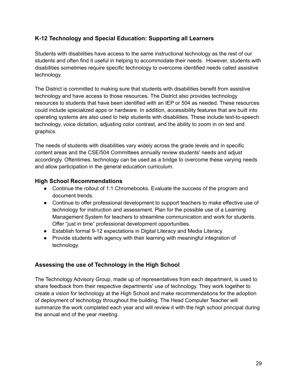# **K-12 Technology and Special Education: Supporting all Learners**

Students with disabilities have access to the same instructional technology as the rest of our students and often find it useful in helping to accommodate their needs. However, students with disabilities sometimes require specific technology to overcome identified needs called assistive technology.

The District is committed to making sure that students with disabilities benefit from assistive technology and have access to those resources. The District also provides technology resources to students that have been identified with an IEP or 504 as needed. These resources could include specialized apps or hardware. In addition, accessibility features that are built into operating systems are also used to help students with disabilities. These include text-to-speech technology, voice dictation, adjusting color contrast, and the ability to zoom in on text and graphics.

The needs of students with disabilities vary widely across the grade levels and in specific content areas and the CSE/504 Committees annually review students' needs and adjust accordingly. Oftentimes, technology can be used as a bridge to overcome these varying needs and allow participation in the general education curriculum.

# **High School Recommendations**

- Continue the rollout of 1:1 Chromebooks. Evaluate the success of the program and document trends.
- Continue to offer professional development to support teachers to make effective use of technology for instruction and assessment. Plan for the possible use of a Learning Management System for teachers to streamline communication and work for students. Offer "just in time" professional development opportunities.
- Establish formal 9-12 expectations in Digital Literacy and Media Literacy.
- Provide students with agency with their learning with meaningful integration of technology.

# **Assessing the use of Technology in the High School**

The Technology Advisory Group, made up of representatives from each department, is used to share feedback from their respective departments' use of technology. They work together to create a vision for technology at the High School and make recommendations for the adoption of deployment of technology throughout the building. The Head Computer Teacher will summarize the work completed each year and will review it with the high school principal during the annual end of the year meeting.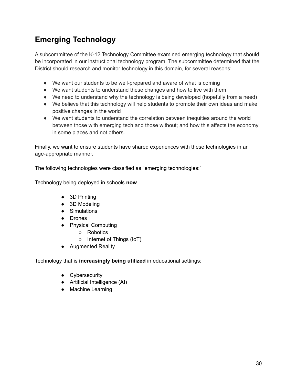# **Emerging Technology**

A subcommittee of the K-12 Technology Committee examined emerging technology that should be incorporated in our instructional technology program. The subcommittee determined that the District should research and monitor technology in this domain, for several reasons:

- We want our students to be well-prepared and aware of what is coming
- We want students to understand these changes and how to live with them
- We need to understand why the technology is being developed (hopefully from a need)
- We believe that this technology will help students to promote their own ideas and make positive changes in the world
- We want students to understand the correlation between inequities around the world between those with emerging tech and those without; and how this affects the economy in some places and not others.

Finally, we want to ensure students have shared experiences with these technologies in an age-appropriate manner.

The following technologies were classified as "emerging technologies:"

Technology being deployed in schools **now**

- 3D Printing
- 3D Modeling
- Simulations
- Drones
- Physical Computing
	- Robotics
	- Internet of Things (IoT)
- Augmented Reality

Technology that is **increasingly being utilized** in educational settings:

- Cybersecurity
- Artificial Intelligence (AI)
- Machine Learning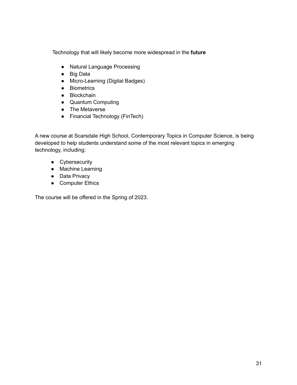Technology that will likely become more widespread in the **future**

- Natural Language Processing
- Big Data
- Micro-Learning (Digital Badges)
- Biometrics
- Blockchain
- Quantum Computing
- The Metaverse
- Financial Technology (FinTech)

A new course at Scarsdale High School, Contemporary Topics in Computer Science, is being developed to help students understand some of the most relevant topics in emerging technology, including:

- Cybersecurity
- Machine Learning
- Data Privacy
- Computer Ethics

The course will be offered in the Spring of 2023.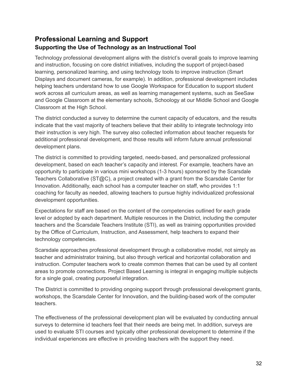# **Professional Learning and Support Supporting the Use of Technology as an Instructional Tool**

Technology professional development aligns with the district's overall goals to improve learning and instruction, focusing on core district initiatives, including the support of project-based learning, personalized learning, and using technology tools to improve instruction (Smart Displays and document cameras, for example). In addition, professional development includes helping teachers understand how to use Google Workspace for Education to support student work across all curriculum areas, as well as learning management systems, such as SeeSaw and Google Classroom at the elementary schools, Schoology at our Middle School and Google Classroom at the High School.

The district conducted a survey to determine the current capacity of educators, and the results indicate that the vast majority of teachers believe that their ability to integrate technology into their instruction is very high. The survey also collected information about teacher requests for additional professional development, and those results will inform future annual professional development plans.

The district is committed to providing targeted, needs-based, and personalized professional development, based on each teacher's capacity and interest. For example, teachers have an opportunity to participate in various mini workshops (1-3 hours) sponsored by the Scarsdale Teachers Collaborative (ST@C), a project created with a grant from the Scarsdale Center for Innovation. Additionally, each school has a computer teacher on staff, who provides 1:1 coaching for faculty as needed, allowing teachers to pursue highly individualized professional development opportunities.

Expectations for staff are based on the content of the competencies outlined for each grade level or adopted by each department. Multiple resources in the District, including the computer teachers and the Scarsdale Teachers Institute (STI), as well as training opportunities provided by the Office of Curriculum, Instruction, and Assessment, help teachers to expand their technology competencies.

Scarsdale approaches professional development through a collaborative model, not simply as teacher and administrator training, but also through vertical and horizontal collaboration and instruction. Computer teachers work to create common themes that can be used by all content areas to promote connections. Project Based Learning is integral in engaging multiple subjects for a single goal, creating purposeful integration.

The District is committed to providing ongoing support through professional development grants, workshops, the Scarsdale Center for Innovation, and the building-based work of the computer teachers.

The effectiveness of the professional development plan will be evaluated by conducting annual surveys to determine id teachers feel that their needs are being met. In addition, surveys are used to evaluate STI courses and typically other professional development to determine if the individual experiences are effective in providing teachers with the support they need.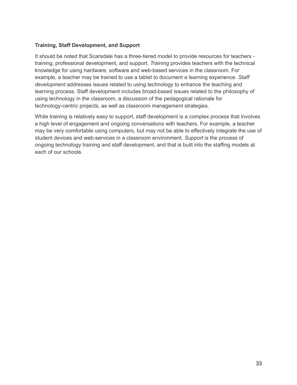### **Training, Staff Development, and Support**

It should be noted that Scarsdale has a three-tiered model to provide resources for teachers training, professional development, and support. *Training* provides teachers with the technical knowledge for using hardware, software and web-based services in the classroom. For example, a teacher may be trained to use a tablet to document a learning experience. *Staff development* addresses issues related to using technology to enhance the teaching and learning process. Staff development includes broad-based issues related to the philosophy of using technology in the classroom, a discussion of the pedagogical rationale for technology-centric projects, as well as classroom management strategies.

While training is relatively easy to support, staff development is a complex process that involves a high level of engagement and ongoing conversations with teachers. For example, a teacher may be very comfortable using computers, but may not be able to effectively integrate the use of student devices and web-services in a classroom environment. *Support* is the process of ongoing technology training and staff development, and that is built into the staffing models at each of our schools.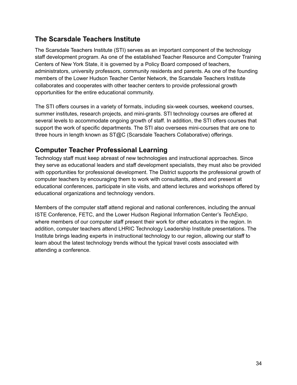# **The Scarsdale Teachers Institute**

The Scarsdale Teachers Institute (STI) serves as an important component of the technology staff development program. As one of the established Teacher Resource and Computer Training Centers of New York State, it is governed by a Policy Board composed of teachers, administrators, university professors, community residents and parents. As one of the founding members of the Lower Hudson Teacher Center Network, the Scarsdale Teachers Institute collaborates and cooperates with other teacher centers to provide professional growth opportunities for the entire educational community.

The STI offers courses in a variety of formats, including six-week courses, weekend courses, summer institutes, research projects, and mini-grants. STI technology courses are offered at several levels to accommodate ongoing growth of staff. In addition, the STI offers courses that support the work of specific departments. The STI also oversees mini-courses that are one to three hours in length known as ST@C (Scarsdale Teachers Collaborative) offerings.

# **Computer Teacher Professional Learning**

Technology staff must keep abreast of new technologies and instructional approaches. Since they serve as educational leaders and staff development specialists, they must also be provided with opportunities for professional development. The District supports the professional growth of computer teachers by encouraging them to work with consultants, attend and present at educational conferences, participate in site visits, and attend lectures and workshops offered by educational organizations and technology vendors.

Members of the computer staff attend regional and national conferences, including the annual ISTE Conference, FETC, and the Lower Hudson Regional Information Center's *TechExpo*, where members of our computer staff present their work for other educators in the region. In addition, computer teachers attend LHRIC Technology Leadership Institute presentations. The Institute brings leading experts in instructional technology to our region, allowing our staff to learn about the latest technology trends without the typical travel costs associated with attending a conference.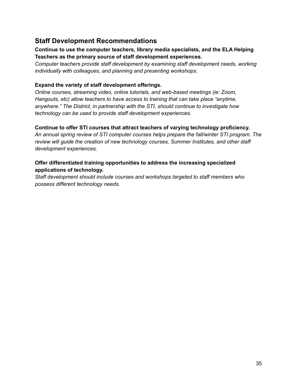# **Staff Development Recommendations**

# **Continue to use the computer teachers, library media specialists, and the ELA Helping Teachers as the primary source of staff development experiences.**

*Computer teachers provide staff development by examining staff development needs, working individually with colleagues, and planning and presenting workshops*.

# **Expand the variety of staff development offerings.**

*Online courses, streaming video, online tutorials, and web-based meetings (ie: Zoom, Hangouts, etc) allow teachers to have access to training that can take place "anytime, anywhere." The District, in partnership with the STI, should continue to investigate how technology can be used to provide staff development experiences.*

# **Continue to offer STI courses that attract teachers of varying technology proficiency.**

*An annual spring review of STI computer courses helps prepare the fall/winter STI program. The review will guide the creation of new technology courses, Summer Institutes, and other staff development experiences.*

# **Offer differentiated training opportunities to address the increasing specialized applications of technology.**

*Staff development should include courses and workshops targeted to staff members who possess different technology needs.*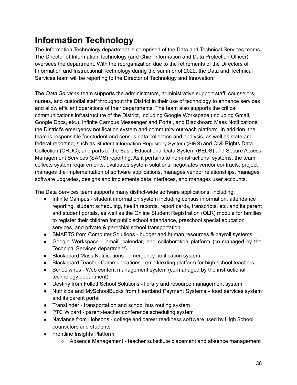# **Information Technology**

The Information Technology department is comprised of the Data and Technical Services teams. The Director of Information Technology (and Chief Information and Data Protection Officer) oversees the department. With the reorganization due to the retirements of the Directors of Information and Instructional Technology during the summer of 2022, the Data and Technical Services team will be reporting to the Director of Technology and Innovation.

The *Data Services* team supports the administrators, administrative support staff, counselors, nurses, and custodial staff throughout the District in their use of technology to enhance services and allow efficient operations of their departments. The team also supports the critical communications infrastructure of the District, including Google Workspace (including Gmail, Google Docs, etc.), Infinite Campus Messenger and Portal, and Blackboard Mass Notifications, the District's emergency notification system and community outreach platform. In addition, the team is responsible for student and census data collection and analysis, as well as state and federal reporting, such as Student Information Repository System (SIRS) and Civil Rights Data Collection (CRDC), and parts of the Basic Educational Data System (BEDS) and Secure Access Management Services (SAMS) reporting. As it pertains to non-instructional systems, the team collects system requirements, evaluates system solutions, negotiates vendor contracts, project manages the implementation of software applications, manages vendor relationships, manages software upgrades, designs and implements data interfaces, and manages user accounts.

The Data Services team supports many district-wide software applications, including:

- Infinite Campus student information system including census information, attendance reporting, student scheduling, health records, report cards, transcripts, etc. and its parent and student portals, as well as the Online Student Registration (OLR) module for families to register their children for public school attendance, preschool special education services, and private & parochial school transportation
- SMARTS from Computer Solutions budget and human resources & payroll systems
- Google Workspace email, calendar, and collaboration platform (co-managed by the Technical Services department)
- Blackboard Mass Notifications emergency notification system
- Blackboard Teacher Communications email/texting platform for high school teachers
- Schoolwires Web content management system (co-managed by the instructional technology department)
- Destiny from Follett School Solutions library and resource management system
- Nutrikids and MySchoolBucks from Heartland Payment Systems food services system and its parent portal
- Transfinder transportation and school bus routing system
- PTC Wizard parent-teacher conference scheduling system
- Naviance from Hobsons college and career readiness software used by High School counselors and students
- Frontline Insights Platform:
	- Absence Management teacher substitute placement and absence management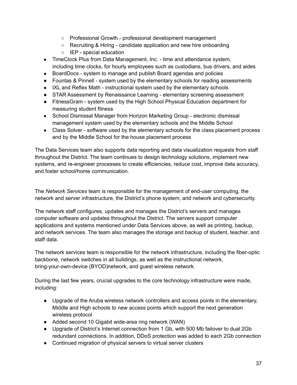- Professional Growth professional development management
- Recruiting & Hiring candidate application and new hire onboarding
- IEP special education
- TimeClock Plus from Data Management, Inc. time and attendance system, including time clocks, for hourly employees such as custodians, bus drivers, and aides
- BoardDocs system to manage and publish Board agendas and policies
- Fountas & Pinnell system used by the elementary schools for reading assessments
- IXL and Reflex Math instructional system used by the elementary schools
- STAR Assessment by Renaissance Learning elementary screening assessment
- FitnessGram system used by the High School Physical Education department for measuring student fitness
- School Dismissal Manager from Horizon Marketing Group electronic dismissal management system used by the elementary schools and the Middle School
- Class Solver software used by the elementary schools for the class placement process and by the Middle School for the house placement process

The Data Services team also supports data reporting and data visualization requests from staff throughout the District. The team continues to design technology solutions, implement new systems, and re-engineer processes to create efficiencies, reduce cost, improve data accuracy, and foster school/home communication.

The *Network Services* team is responsible for the management of end-user computing, the network and server infrastructure, the District's phone system, and network and cybersecurity.

The network staff configures, updates and manages the District's servers and manages computer software and updates throughout the District. The servers support computer applications and systems mentioned under Data Services above, as well as printing, backup, and network services. The team also manages the storage and backup of student, teacher, and staff data.

The network services team is responsible for the network infrastructure, including the fiber-optic backbone, network switches in all buildings, as well as the instructional network, bring-your-own-device (BYOD)network, and guest wireless network.

During the last few years, crucial upgrades to the core technology infrastructure were made, including:

- Upgrade of the Aruba wireless network controllers and access points in the elementary, Middle and High schools to new access points which support the next generation wireless protocol
- Added second 10 Gigabit wide-area ring network (WAN)
- Upgrade of District's Internet connection from 1 Gb, with 500 Mb failover to dual 2Gb redundant connections. In addition, DDoS protection was added to each 2Gb connection
- Continued migration of physical servers to virtual server clusters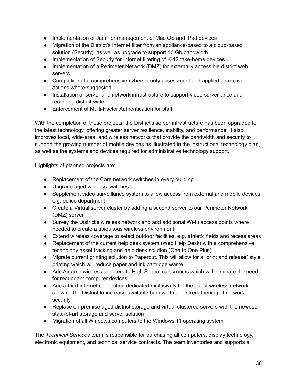- Implementation of Jamf for management of Mac OS and iPad devices
- Migration of the District's Internet filter from an appliance-based to a cloud-based solution (Securly), as well as upgrade to support 10 Gb bandwidth
- Implementation of Securly for Internet filtering of K-12 take-home devices
- Implementation of a Perimeter Network (DMZ) for externally accessible district web servers
- Completion of a comprehensive cybersecurity assessment and applied corrective actions where suggested
- Installation of server and network infrastructure to support video surveillance and recording district-wide
- Enforcement of Multi-Factor Authentication for staff

With the completion of these projects, the District's server infrastructure has been upgraded to the latest technology, offering greater server resilience, stability, and performance. It also improves local, wide-area, and wireless networks that provide the bandwidth and security to support the growing number of mobile devices as illustrated in the instructional technology plan, as well as the systems and devices required for administrative technology support.

Highlights of planned projects are:

- Replacement of the Core network switches in every building
- Upgrade aged wireless switches
- Supplement video surveillance system to allow access from external and mobile devices, e.g. police department
- Create a Virtual server cluster by adding a second server to our Perimeter Network (DMZ) server
- Survey the District's wireless network and add additional Wi-Fi access points where needed to create a ubiquitous wireless environment
- Extend wireless coverage to select outdoor facilities, e.g. athletic fields and recess areas
- Replacement of the current help desk system (Web Help Desk) with a comprehensive technology asset tracking and help desk solution (One to One Plus)
- Migrate current printing solution to Papercut. This will allow for a "print and release" style printing which will reduce paper and ink cartridge waste
- Add Airtame wireless adapters to High School classrooms which will eliminate the need for redundant computer devices
- Add a third internet connection dedicated exclusively for the guest wireless network allowing the District to increase available bandwidth and strengthening of network security
- Replace on-premise aged district storage and virtual clustered servers with the newest, state-of-art storage and server solution
- Migration of all Windows computers to the Windows 11 operating system

The *Technical Services* team is responsible for purchasing all computers, display technology, electronic equipment, and technical service contracts. The team inventories and supports all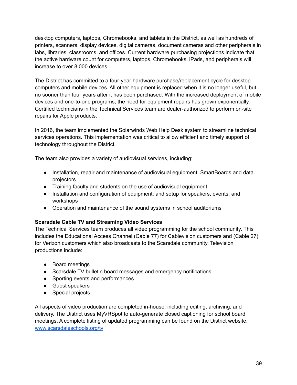desktop computers, laptops, Chromebooks, and tablets in the District, as well as hundreds of printers, scanners, display devices, digital cameras, document cameras and other peripherals in labs, libraries, classrooms, and offices. Current hardware purchasing projections indicate that the active hardware count for computers, laptops, Chromebooks, iPads, and peripherals will increase to over 8,000 devices.

The District has committed to a four-year hardware purchase/replacement cycle for desktop computers and mobile devices. All other equipment is replaced when it is no longer useful, but no sooner than four years after it has been purchased. With the increased deployment of mobile devices and one-to-one programs, the need for equipment repairs has grown exponentially. Certified technicians in the Technical Services team are dealer-authorized to perform on-site repairs for Apple products.

In 2016, the team implemented the Solarwinds Web Help Desk system to streamline technical services operations. This implementation was critical to allow efficient and timely support of technology throughout the District.

The team also provides a variety of audiovisual services, including:

- Installation, repair and maintenance of audiovisual equipment, SmartBoards and data projectors
- Training faculty and students on the use of audiovisual equipment
- Installation and configuration of equipment, and setup for speakers, events, and workshops
- Operation and maintenance of the sound systems in school auditoriums

# **Scarsdale Cable TV and Streaming Video Services**

The Technical Services team produces all video programming for the school community. This includes the Educational Access Channel (Cable 77) for Cablevision customers and (Cable 27) for Verizon customers which also broadcasts to the Scarsdale community. Television productions include:

- Board meetings
- Scarsdale TV bulletin board messages and emergency notifications
- Sporting events and performances
- Guest speakers
- Special projects

All aspects of video production are completed in-house, including editing, archiving, and delivery. The District uses MyVRSpot to auto-generate closed captioning for school board meetings. A complete listing of updated programming can be found on the District website, [www.scarsdaleschools.org/tv](http://www.scarsdaleschools.org/tv)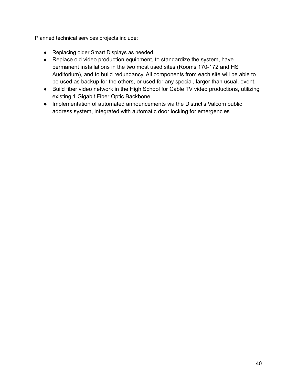Planned technical services projects include:

- Replacing older Smart Displays as needed.
- Replace old video production equipment, to standardize the system, have permanent installations in the two most used sites (Rooms 170-172 and HS Auditorium), and to build redundancy. All components from each site will be able to be used as backup for the others, or used for any special, larger than usual, event.
- Build fiber video network in the High School for Cable TV video productions, utilizing existing 1 Gigabit Fiber Optic Backbone.
- Implementation of automated announcements via the District's Valcom public address system, integrated with automatic door locking for emergencies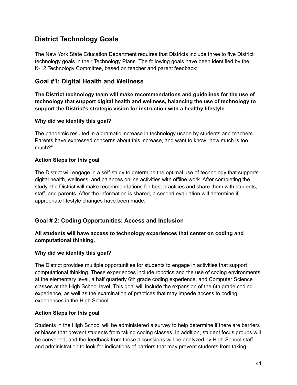# **District Technology Goals**

The New York State Education Department requires that Districts include three to five District technology goals in their Technology Plans. The following goals have been identified by the K-12 Technology Committee, based on teacher and parent feedback:

# **Goal #1: Digital Health and Wellness**

**The District technology team will make recommendations and guidelines for the use of technology that support digital health and wellness, balancing the use of technology to support the District's strategic vision for instruction with a healthy lifestyle.**

# **Why did we identify this goal?**

The pandemic resulted in a dramatic increase in technology usage by students and teachers. Parents have expressed concerns about this increase, and want to know "how much is too much?"

# **Action Steps for this goal**

The District will engage in a self-study to determine the optimal use of technology that supports digital health, wellness, and balances online activities with offline work. After completing the study, the District will make recommendations for best practices and share them with students, staff, and parents. After the information is shared, a second evaluation will determine if appropriate lifestyle changes have been made.

# **Goal # 2: Coding Opportunities: Access and Inclusion**

# **All students will have access to technology experiences that center on coding and computational thinking.**

# **Why did we identify this goal?**

The District provides multiple opportunities for students to engage in activities that support computational thinking. These experiences include robotics and the use of coding environments at the elementary level, a half quarterly 6th grade coding experience, and Computer Science classes at the High School level. This goal will include the expansion of the 6th grade coding experience, as well as the examination of practices that may impede access to coding experiences in the High School.

# **Action Steps for this goal**

Students in the High School will be administered a survey to help determine if there are barriers or biases that prevent students from taking coding classes. In addition, student focus groups will be convened, and the feedback from those discussions will be analyzed by High School staff and administration to look for indications of barriers that may prevent students from taking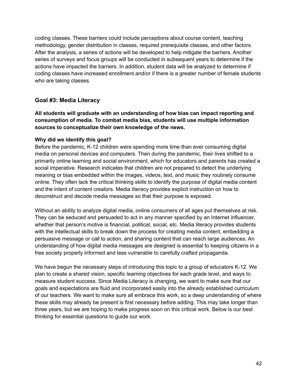coding classes. These barriers could include perceptions about course content, teaching methodology, gender distribution in classes, required prerequisite classes, and other factors. After the analysis, a series of actions will be developed to help mitigate the barriers. Another series of surveys and focus groups will be conducted in subsequent years to determine if the actions have impacted the barriers. In addition, student data will be analyzed to determine if coding classes have increased enrollment and/or if there is a greater number of female students who are taking classes.

# **Goal #3: Media Literacy**

**All students will graduate with an understanding of how bias can impact reporting and consumption of media. To combat media bias, students will use multiple information sources to conceptualize their own knowledge of the news.**

# **Why did we identify this goal?**

Before the pandemic, K-12 children were spending more time than ever consuming digital media on personal devices and computers. Then during the pandemic, their lives shifted to a primarily online learning and social environment, which for educators and parents has created a social imperative. Research indicates that children are not prepared to detect the underlying meaning or bias embedded within the images, videos, text, and music they routinely consume online. They often lack the critical thinking skills to identify the purpose of digital media content and the intent of content creators. Media literacy provides explicit instruction on how to deconstruct and decode media messages so that their purpose is exposed.

Without an ability to analyze digital media, online consumers of all ages put themselves at risk. They can be seduced and persuaded to act in any manner specified by an Internet influencer, whether that person's motive is financial, political, social, etc. Media literacy provides students with the intellectual skills to break down the process for creating media content, embedding a persuasive message or call to action, and sharing content that can reach large audiences. An understanding of how digital media messages are designed is essential to keeping citizens in a free society properly informed and less vulnerable to carefully crafted propaganda.

We have begun the necessary steps of introducing this topic to a group of educators K-12. We plan to create a shared vision, specific learning objectives for each grade level, and ways to measure student success. Since Media Literacy is changing, we want to make sure that our goals and expectations are fluid and incorporated easily into the already established curriculum of our teachers. We want to make sure all embrace this work, so a deep understanding of where these skills may already be present is first necessary before adding. This may take longer than three years, but we are hoping to make progress soon on this critical work. Below is our best thinking for essential questions to guide our work.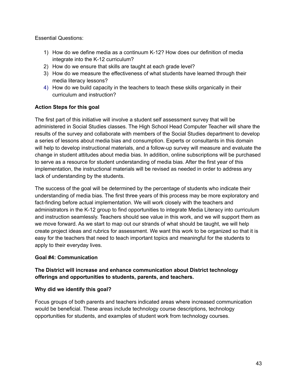Essential Questions:

- 1) How do we define media as a continuum K-12? How does our definition of media integrate into the K-12 curriculum?
- 2) How do we ensure that skills are taught at each grade level?
- 3) How do we measure the effectiveness of what students have learned through their media literacy lessons?
- 4) How do we build capacity in the teachers to teach these skills organically in their curriculum and instruction?

# **Action Steps for this goal**

The first part of this initiative will involve a student self assessment survey that will be administered in Social Studies classes. The High School Head Computer Teacher will share the results of the survey and collaborate with members of the Social Studies department to develop a series of lessons about media bias and consumption. Experts or consultants in this domain will help to develop instructional materials, and a follow-up survey will measure and evaluate the change in student attitudes about media bias. In addition, online subscriptions will be purchased to serve as a resource for student understanding of media bias. After the first year of this implementation, the instructional materials will be revised as needed in order to address any lack of understanding by the students.

The success of the goal will be determined by the percentage of students who indicate their understanding of media bias. The first three years of this process may be more exploratory and fact-finding before actual implementation. We will work closely with the teachers and administrators in the K-12 group to find opportunities to integrate Media Literacy into curriculum and instruction seamlessly. Teachers should see value in this work, and we will support them as we move forward. As we start to map out our strands of what should be taught, we will help create project ideas and rubrics for assessment. We want this work to be organized so that it is easy for the teachers that need to teach important topics and meaningful for the students to apply to their everyday lives.

#### **Goal #4: Communication**

# **The District will increase and enhance communication about District technology offerings and opportunities to students, parents, and teachers.**

#### **Why did we identify this goal?**

Focus groups of both parents and teachers indicated areas where increased communication would be beneficial. These areas include technology course descriptions, technology opportunities for students, and examples of student work from technology courses.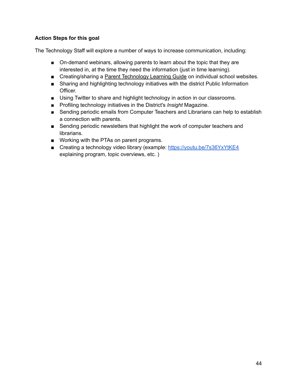# **Action Steps for this goal**

The Technology Staff will explore a number of ways to increase communication, including:

- On-demand webinars, allowing parents to learn about the topic that they are interested in, at the time they need the information (just in time learning).
- Creating/sharing a Parent [Technology](https://sites.google.com/scarsdaleschools.org/elementaryelearningparentguide/welcome) Learning Guide on individual school websites.
- Sharing and highlighting technology initiatives with the district Public Information Officer.
- Using Twitter to share and highlight technology in action in our classrooms.
- Profiling technology initiatives in the District's *Insight* Magazine.
- Sending periodic emails from Computer Teachers and Librarians can help to establish a connection with parents.
- Sending periodic newsletters that highlight the work of computer teachers and librarians.
- Working with the PTAs on parent programs.
- Creating a technology video library (example: <https://youtu.be/7s36YxYtKE4> explaining program, topic overviews, etc. )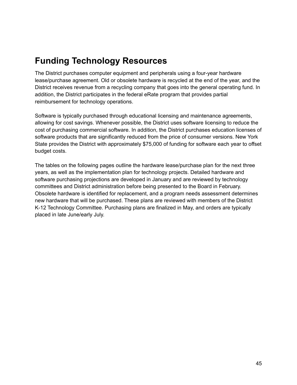# **Funding Technology Resources**

The District purchases computer equipment and peripherals using a four-year hardware lease/purchase agreement. Old or obsolete hardware is recycled at the end of the year, and the District receives revenue from a recycling company that goes into the general operating fund. In addition, the District participates in the federal eRate program that provides partial reimbursement for technology operations.

Software is typically purchased through educational licensing and maintenance agreements, allowing for cost savings. Whenever possible, the District uses software licensing to reduce the cost of purchasing commercial software. In addition, the District purchases education licenses of software products that are significantly reduced from the price of consumer versions. New York State provides the District with approximately \$75,000 of funding for software each year to offset budget costs.

The tables on the following pages outline the hardware lease/purchase plan for the next three years, as well as the implementation plan for technology projects. Detailed hardware and software purchasing projections are developed in January and are reviewed by technology committees and District administration before being presented to the Board in February. Obsolete hardware is identified for replacement, and a program needs assessment determines new hardware that will be purchased. These plans are reviewed with members of the District K-12 Technology Committee. Purchasing plans are finalized in May, and orders are typically placed in late June/early July.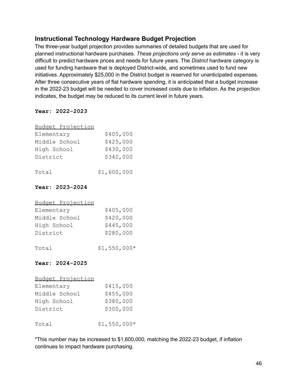# **Instructional Technology Hardware Budget Projection**

The three-year budget projection provides summaries of detailed budgets that are used for planned instructional hardware purchases. *These projections only serve as estimates* - it is very difficult to predict hardware prices and needs for future years. The *District* hardware category is used for funding hardware that is deployed District-wide, and sometimes used to fund new initiatives. Approximately \$25,000 in the District budget is reserved for unanticipated expenses. After three consecutive years of flat hardware spending, it is anticipated that a budget increase in the 2022-23 budget will be needed to cover increased costs due to inflation. As the projection indicates, the budget may be reduced to its current level in future years.

# **Year: 2022-2023**

| Budget Projection |             |
|-------------------|-------------|
| Elementary        | \$405,000   |
| Middle School     | \$425,000   |
| High School       | \$430,000   |
| District          | \$340,000   |
|                   |             |
| Total             | \$1,600,000 |

# **Year: 2023-2024**

| Budget Projection |               |
|-------------------|---------------|
| Elementary        | \$405,000     |
| Middle School     | \$420,000     |
| High School       | \$445,000     |
| District          | \$280,000     |
| Total             | $$1,550,000*$ |

# **Year: 2024-2025**

# Budget Projection

| Elementary    | \$415,000     |
|---------------|---------------|
| Middle School | \$455,000     |
| High School   | \$380,000     |
| District      | \$300,000     |
|               |               |
| Total         | $$1,550,000*$ |

\*This number may be increased to \$1,600,000, matching the 2022-23 budget, if inflation continues to impact hardware purchasing.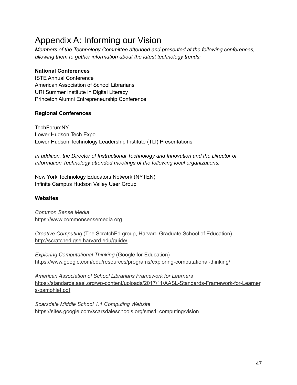# Appendix A: Informing our Vision

*Members of the Technology Committee attended and presented at the following conferences, allowing them to gather information about the latest technology trends:*

# **National Conferences**

ISTE Annual Conference American Association of School Librarians URI Summer Institute in Digital Literacy Princeton Alumni Entrepreneurship Conference

# **Regional Conferences**

**TechForumNY** Lower Hudson Tech Expo Lower Hudson Technology Leadership Institute (TLI) Presentations

*In addition, the Director of Instructional Technology and Innovation and the Director of Information Technology attended meetings of the following local organizations:*

New York Technology Educators Network (NYTEN) Infinite Campus Hudson Valley User Group

# **Websites**

*Common Sense Media* <https://www.commonsensemedia.org>

*Creative Computing* (The ScratchEd group, Harvard Graduate School of Education) <http://scratched.gse.harvard.edu/guide/>

*Exploring Computational Thinking* (Google for Education) <https://www.google.com/edu/resources/programs/exploring-computational-thinking/>

*American Association of School Librarians Framework for Learners* [https://standards.aasl.org/wp-content/uploads/2017/11/AASL-Standards-Framework-for-Learner](https://standards.aasl.org/wp-content/uploads/2017/11/AASL-Standards-Framework-for-Learners-pamphlet.pdf) [s-pamphlet.pdf](https://standards.aasl.org/wp-content/uploads/2017/11/AASL-Standards-Framework-for-Learners-pamphlet.pdf)

*Scarsdale Middle School 1:1 Computing Website* <https://sites.google.com/scarsdaleschools.org/sms11computing/vision>